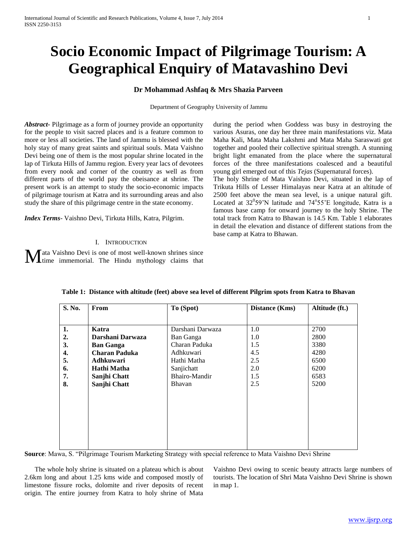# **Socio Economic Impact of Pilgrimage Tourism: A Geographical Enquiry of Matavashino Devi**

# **Dr Mohammad Ashfaq & Mrs Shazia Parveen**

Department of Geography University of Jammu

*Abstract***-** Pilgrimage as a form of journey provide an opportunity for the people to visit sacred places and is a feature common to more or less all societies. The land of Jammu is blessed with the holy stay of many great saints and spiritual souls. Mata Vaishno Devi being one of them is the most popular shrine located in the lap of Tirkuta Hills of Jammu region. Every year lacs of devotees from every nook and corner of the country as well as from different parts of the world pay the obeisance at shrine. The present work is an attempt to study the socio-economic impacts of pilgrimage tourism at Katra and its surrounding areas and also study the share of this pilgrimage centre in the state economy.

*Index Terms*- Vaishno Devi, Tirkuta Hills, Katra, Pilgrim.

## I. INTRODUCTION

ata Vaishno Devi is one of most well-known shrines since **M** at Vaishno Devi is one of most well-known shrines since the time immemorial. The Hindu mythology claims that during the period when Goddess was busy in destroying the various Asuras, one day her three main manifestations viz. Mata Maha Kali, Mata Maha Lakshmi and Mata Maha Saraswati got together and pooled their collective spiritual strength. A stunning bright light emanated from the place where the supernatural forces of the three manifestations coalesced and a beautiful young girl emerged out of this *Tejas* (Supernatural forces).

The holy Shrine of Mata Vaishno Devi, situated in the lap of Trikuta Hills of Lesser Himalayas near Katra at an altitude of 2500 feet above the mean sea level, is a unique natural gift. Located at  $32^059'N$  latitude and  $74^055'E$  longitude, Katra is a famous base camp for onward journey to the holy Shrine. The total track from Katra to Bhawan is 14.5 Km. Table 1 elaborates in detail the elevation and distance of different stations from the base camp at Katra to Bhawan.

| S. No. | From                 | To (Spot)        | <b>Distance (Kms)</b> | Altitude (ft.) |
|--------|----------------------|------------------|-----------------------|----------------|
| 1.     | Katra                | Darshani Darwaza | 1.0                   | 2700           |
| 2.     | Darshani Darwaza     | Ban Ganga        | 1.0                   | 2800           |
| 3.     | <b>Ban Ganga</b>     | Charan Paduka    | 1.5                   | 3380           |
| 4.     | <b>Charan Paduka</b> | Adhkuwari        | 4.5                   | 4280           |
| 5.     | <b>Adhkuwari</b>     | Hathi Matha      | 2.5                   | 6500           |
| 6.     | Hathi Matha          | Sanjichatt       | 2.0                   | 6200           |
| 7.     | Sanjhi Chatt         | Bhairo-Mandir    | 1.5                   | 6583           |
| 8.     | Sanjhi Chatt         | Bhavan           | 2.5                   | 5200           |
|        |                      |                  |                       |                |
|        |                      |                  |                       |                |
|        |                      |                  |                       |                |
|        |                      |                  |                       |                |
|        |                      |                  |                       |                |
|        |                      |                  |                       |                |
|        |                      |                  |                       |                |

|  |  | Table 1: Distance with altitude (feet) above sea level of different Pilgrim spots from Katra to Bhavan |  |
|--|--|--------------------------------------------------------------------------------------------------------|--|
|  |  |                                                                                                        |  |

**Source**: Mawa, S. "Pilgrimage Tourism Marketing Strategy with special reference to Mata Vaishno Devi Shrine

 The whole holy shrine is situated on a plateau which is about 2.6km long and about 1.25 kms wide and composed mostly of limestone fissure rocks, dolomite and river deposits of recent origin. The entire journey from Katra to holy shrine of Mata

Vaishno Devi owing to scenic beauty attracts large numbers of tourists. The location of Shri Mata Vaishno Devi Shrine is shown in map 1.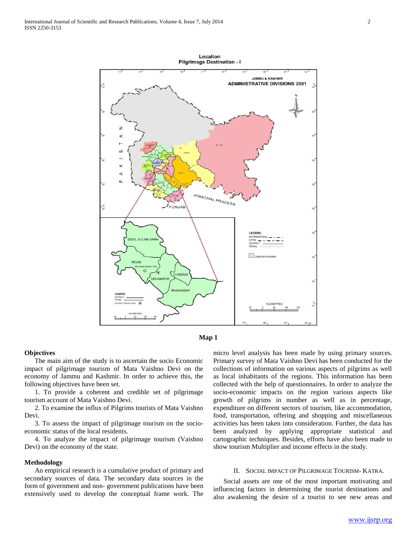

![](_page_1_Figure_3.jpeg)

## **Objectives**

 The main aim of the study is to ascertain the socio Economic impact of pilgrimage tourism of Mata Vaishno Devi on the economy of Jammu and Kashmir. In order to achieve this, the following objectives have been set.

 1. To provide a coherent and credible set of pilgrimage tourism account of Mata Vaishno Devi.

 2. To examine the influx of Pilgrims tourists of Mata Vaishno Devi.

 3. To assess the impact of pilgrimage tourism on the socioeconomic status of the local residents.

 4. To analyze the impact of pilgrimage tourism (Vaishno Devi) on the economy of the state.

## **Methodology**

 An empirical research is a cumulative product of primary and secondary sources of data. The secondary data sources in the form of government and non- government publications have been extensively used to develop the conceptual frame work. The

micro level analysis has been made by using primary sources. Primary survey of Mata Vaishno Devi has been conducted for the collections of information on various aspects of pilgrims as well as local inhabitants of the regions. This information has been collected with the help of questionnaires. In order to analyze the socio-economic impacts on the region various aspects like growth of pilgrims in number as well as in percentage, expenditure on different sectors of tourism, like accommodation, food, transportation, offering and shopping and miscellaneous activities has been taken into consideration. Further, the data has been analyzed by applying appropriate statistical and cartographic techniques. Besides, efforts have also been made to show tourism Multiplier and income effects in the study.

#### II. SOCIAL IMPACT OF PILGRIMAGE TOURISM- KATRA.

 Social assets are one of the most important motivating and influencing factors in determining the tourist destinations and also awakening the desire of a tourist to see new areas and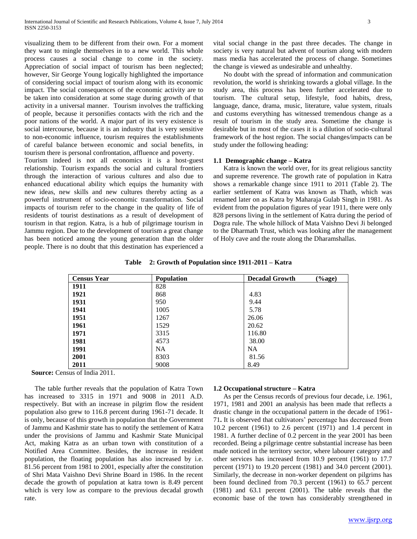visualizing them to be different from their own. For a moment they want to mingle themselves in to a new world. This whole process causes a social change to come in the society. Appreciation of social impact of tourism has been neglected; however, Sir George Young logically highlighted the importance of considering social impact of tourism along with its economic impact. The social consequences of the economic activity are to be taken into consideration at some stage during growth of that activity in a universal manner. Tourism involves the trafficking of people, because it personifies contacts with the rich and the poor nations of the world. A major part of its very existence is social intercourse, because it is an industry that is very sensitive to non-economic influence, tourism requires the establishments of careful balance between economic and social benefits, in tourism there is personal confrontation, affluence and poverty.

Tourism indeed is not all economics it is a host-guest relationship. Tourism expands the social and cultural frontiers through the interaction of various cultures and also due to enhanced educational ability which equips the humanity with new ideas, new skills and new cultures thereby acting as a powerful instrument of socio-economic transformation. Social impacts of tourism refer to the change in the quality of life of residents of tourist destinations as a result of development of tourism in that region. Katra, is a hub of pilgrimage tourism in Jammu region. Due to the development of tourism a great change has been noticed among the young generation than the older people. There is no doubt that this destination has experienced a

vital social change in the past three decades. The change in society is very natural but advent of tourism along with modern mass media has accelerated the process of change. Sometimes the change is viewed as undesirable and unhealthy.

 No doubt with the spread of information and communication revolution, the world is shrinking towards a global village. In the study area, this process has been further accelerated due to tourism. The cultural setup, lifestyle, food habits, dress, language, dance, drama, music, literature, value system, rituals and customs everything has witnessed tremendous change as a result of tourism in the study area. Sometime the change is desirable but in most of the cases it is a dilution of socio-cultural framework of the host region. The social changes/impacts can be study under the following heading:

## **1.1 Demographic change – Katra**

 Katra is known the world over, for its great religious sanctity and supreme reverence. The growth rate of population in Katra shows a remarkable change since 1911 to 2011 (Table 2). The earlier settlement of Katra was known as Thath, which was renamed later on as Katra by Maharaja Gulab Singh in 1981. As evident from the population figures of year 1911, there were only 828 persons living in the settlement of Katra during the period of Dogra rule. The whole hillock of Mata Vaishno Devi Ji belonged to the Dharmath Trust, which was looking after the management of Holy cave and the route along the Dharamshallas.

**Table 2: Growth of Population since 1911-2011 – Katra**

| <b>Census Year</b> | <b>Population</b> | $(\%$ age)<br><b>Decadal Growth</b> |
|--------------------|-------------------|-------------------------------------|
| 1911               | 828               |                                     |
| 1921               | 868               | 4.83                                |
| 1931               | 950               | 9.44                                |
| 1941               | 1005              | 5.78                                |
| 1951               | 1267              | 26.06                               |
| 1961               | 1529              | 20.62                               |
| 1971               | 3315              | 116.80                              |
| 1981               | 4573              | 38.00                               |
| 1991               | <b>NA</b>         | <b>NA</b>                           |
| 2001               | 8303              | 81.56                               |
| 2011               | 9008              | 8.49                                |

**Source:** Census of India 2011.

 The table further reveals that the population of Katra Town has increased to 3315 in 1971 and 9008 in 2011 A.D. respectively. But with an increase in pilgrim flow the resident population also grew to 116.8 percent during 1961-71 decade. It is only, because of this growth in population that the Government of Jammu and Kashmir state has to notify the settlement of Katra under the provisions of Jammu and Kashmir State Municipal Act, making Katra as an urban town with constitution of a Notified Area Committee. Besides, the increase in resident population, the floating population has also increased by i.e. 81.56 percent from 1981 to 2001, especially after the constitution of Shri Mata Vaishno Devi Shrine Board in 1986. In the recent decade the growth of population at katra town is 8.49 percent which is very low as compare to the previous decadal growth rate.

#### **1.2 Occupational structure – Katra**

 As per the Census records of previous four decade, i.e. 1961, 1971, 1981 and 2001 an analysis has been made that reflects a drastic change in the occupational pattern in the decade of 1961- 71**.** It is observed that cultivators' percentage has decreased from 10.2 percent (1961) to 2.6 percent (1971) and 1.4 percent in 1981. A further decline of 0.2 percent in the year 2001 has been recorded. Being a pilgrimage centre substantial increase has been made noticed in the territory sector, where labourer category and other services has increased from 10.9 percent (1961) to 17.7 percent (1971) to 19.20 percent (1981) and 34.0 percent (2001). Similarly, the decrease in non-worker dependent on pilgrims has been found declined from 70.3 percent (1961) to 65.7 percent (1981) and 63.1 percent (2001). The table reveals that the economic base of the town has considerably strengthened in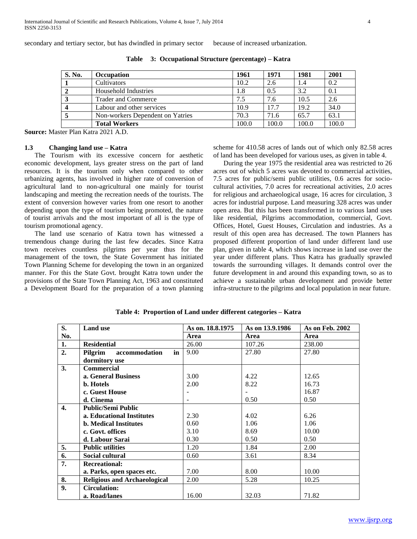secondary and tertiary sector, but has dwindled in primary sector because of increased urbanization.

| <b>S. No.</b> | <b>Occupation</b>                | 1961  | 1971  | 1981  | 2001  |
|---------------|----------------------------------|-------|-------|-------|-------|
|               | Cultivators                      | 10.2  | 2.6   | 1.4   | 0.2   |
|               | Household Industries             | 1.8   | 0.5   | 3.2   | 0.1   |
| A.            | <b>Trader and Commerce</b>       | 7.5   | 7.6   | 10.5  | 2.6   |
|               | Labour and other services        | 10.9  | 17.7  | 19.2  | 34.0  |
|               | Non-workers Dependent on Yatries | 70.3  | 71.6  | 65.7  | 63.1  |
|               | <b>Total Workers</b>             | 100.0 | 100.0 | 100.0 | 100.0 |

**Table 3: Occupational Structure (percentage) – Katra**

**Source:** Master Plan Katra 2021 A.D.

## **1.3 Changing land use – Katra**

 The Tourism with its excessive concern for aesthetic economic development, lays greater stress on the part of land resources. It is the tourism only when compared to other urbanizing agents, has involved in higher rate of conversion of agricultural land to non-agricultural one mainly for tourist landscaping and meeting the recreation needs of the tourists. The extent of conversion however varies from one resort to another depending upon the type of tourism being promoted, the nature of tourist arrivals and the most important of all is the type of tourism promotional agency.

 The land use scenario of Katra town has witnessed a tremendous change during the last few decades. Since Katra town receives countless pilgrims per year thus for the management of the town, the State Government has initiated Town Planning Scheme for developing the town in an organized manner. For this the State Govt. brought Katra town under the provisions of the State Town Planning Act, 1963 and constituted a Development Board for the preparation of a town planning

scheme for 410.58 acres of lands out of which only 82.58 acres of land has been developed for various uses, as given in table 4.

 During the year 1975 the residential area was restricted to 26 acres out of which 5 acres was devoted to commercial activities, 7.5 acres for public/semi public utilities, 0.6 acres for sociocultural activities, 7.0 acres for recreational activities, 2.0 acres for religious and archaeological usage, 16 acres for circulation, 3 acres for industrial purpose. Land measuring 328 acres was under open area. But this has been transformed in to various land uses like residential, Pilgrims accommodation, commercial, Govt. Offices, Hotel, Guest Houses, Circulation and industries. As a result of this open area has decreased. The town Planners has proposed different proportion of land under different land use plan, given in table 4, which shows increase in land use over the year under different plans. Thus Katra has gradually sprawled towards the surrounding villages. It demands control over the future development in and around this expanding town, so as to achieve a sustainable urban development and provide better infra-structure to the pilgrims and local population in near future.

| S.  | <b>Land use</b>                     | As on. 18.8.1975 | As on 13.9.1986 | <b>As on Feb. 2002</b> |
|-----|-------------------------------------|------------------|-----------------|------------------------|
| No. |                                     | Area             | Area            | Area                   |
| 1.  | <b>Residential</b>                  | 26.00            | 107.26          | 238.00                 |
| 2.  | Pilgrim<br>accommodation<br>in      | 9.00             | 27.80           | 27.80                  |
|     | dormitory use                       |                  |                 |                        |
| 3.  | <b>Commercial</b>                   |                  |                 |                        |
|     | a. General Business                 | 3.00             | 4.22            | 12.65                  |
|     | <b>b.</b> Hotels                    | 2.00             | 8.22            | 16.73                  |
|     | c. Guest House                      |                  |                 | 16.87                  |
|     | d. Cinema                           |                  | 0.50            | 0.50                   |
| 4.  | <b>Public/Semi Public</b>           |                  |                 |                        |
|     | a. Educational Institutes           | 2.30             | 4.02            | 6.26                   |
|     | <b>b.</b> Medical Institutes        | 0.60             | 1.06            | 1.06                   |
|     | c. Govt. offices                    | 3.10             | 8.69            | 10.00                  |
|     | d. Labour Sarai                     | 0.30             | 0.50            | 0.50                   |
| 5.  | <b>Public utilities</b>             | 1.20             | 1.84            | 2.00                   |
| 6.  | Social cultural                     | 0.60             | 3.61            | 8.34                   |
| 7.  | <b>Recreational:</b>                |                  |                 |                        |
|     | a. Parks, open spaces etc.          | 7.00             | 8.00            | 10.00                  |
| 8.  | <b>Religious and Archaeological</b> | 2.00             | 5.28            | 10.25                  |
| 9.  | <b>Circulation:</b>                 |                  |                 |                        |
|     | a. Road/lanes                       | 16.00            | 32.03           | 71.82                  |

**Table 4: Proportion of Land under different categories – Katra**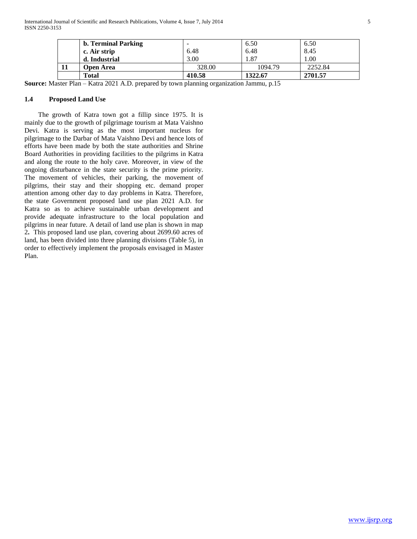| <b>b. Terminal Parking</b> | $\overline{\phantom{a}}$ | 6.50    | 6.50    |
|----------------------------|--------------------------|---------|---------|
| c. Air strip               | 6.48                     | 6.48    | 8.45    |
| d. Industrial              | 3.00                     | 1.87    | 0.00    |
| Open Area                  | 328.00                   | 1094.79 | 2252.84 |
| Total                      | 410.58                   | 1322.67 | 2701.57 |

**Source:** Master Plan – Katra 2021 A.D. prepared by town planning organization Jammu, p.15

## **1.4 Proposed Land Use**

 The growth of Katra town got a fillip since 1975. It is mainly due to the growth of pilgrimage tourism at Mata Vaishno Devi. Katra is serving as the most important nucleus for pilgrimage to the Darbar of Mata Vaishno Devi and hence lots of efforts have been made by both the state authorities and Shrine Board Authorities in providing facilities to the pilgrims in Katra and along the route to the holy cave. Moreover, in view of the ongoing disturbance in the state security is the prime priority. The movement of vehicles, their parking, the movement of pilgrims, their stay and their shopping etc. demand proper attention among other day to day problems in Katra. Therefore, the state Government proposed land use plan 2021 A.D. for Katra so as to achieve sustainable urban development and provide adequate infrastructure to the local population and pilgrims in near future. A detail of land use plan is shown in map 2**.** This proposed land use plan, covering about 2699.60 acres of land, has been divided into three planning divisions (Table 5), in order to effectively implement the proposals envisaged in Master Plan.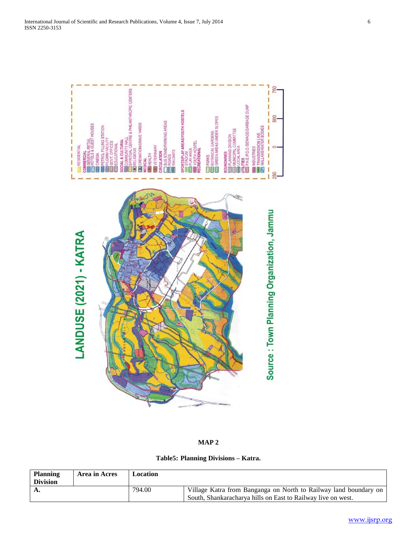![](_page_5_Figure_2.jpeg)

**MAP 2**

**Table5: Planning Divisions – Katra.**

| <b>Planning</b> | Area in Acres | Location |                                                                  |
|-----------------|---------------|----------|------------------------------------------------------------------|
| <b>Division</b> |               |          |                                                                  |
|                 |               | 794.00   | Village Katra from Banganga on North to Railway land boundary on |
|                 |               |          | South, Shankaracharya hills on East to Railway live on west.     |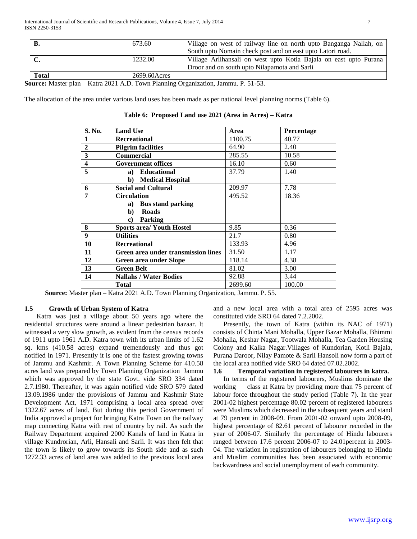|              | 673.60       | Village on west of railway line on north upto Banganga Nallah, on |
|--------------|--------------|-------------------------------------------------------------------|
|              |              | South upto Nomain check post and on east upto Latori road.        |
|              | 1232.00      | Village Arlihansali on west upto Kotla Bajala on east upto Purana |
|              |              | Droor and on south upto Nilapamota and Sarli                      |
| <b>Total</b> | 2699.60Acres |                                                                   |

**Source:** Master plan – Katra 2021 A.D. Town Planning Organization, Jammu. P. 51-53.

The allocation of the area under various land uses has been made as per national level planning norms (Table 6).

| S. No.                  | <b>Land Use</b>                            | Area    | Percentage |
|-------------------------|--------------------------------------------|---------|------------|
| 1                       | <b>Recreational</b>                        | 1100.75 | 40.77      |
| $\overline{2}$          | <b>Pilgrim facilities</b>                  | 64.90   | 2.40       |
| 3                       | <b>Commercial</b>                          | 285.55  | 10.58      |
| $\overline{\mathbf{4}}$ | <b>Government offices</b>                  | 16.10   | 0.60       |
| 5                       | <b>Educational</b><br>a)                   | 37.79   | 1.40       |
|                         | <b>Medical Hospital</b><br>$\mathbf{b}$    |         |            |
| 6                       | <b>Social and Cultural</b>                 | 209.97  | 7.78       |
| 7                       | <b>Circulation</b>                         | 495.52  | 18.36      |
|                         | <b>Bus stand parking</b><br>a)             |         |            |
|                         | <b>Roads</b><br>$\mathbf{b}$               |         |            |
|                         | Parking<br>c)                              |         |            |
| 8                       | <b>Sports area/ Youth Hostel</b>           | 9.85    | 0.36       |
| $\boldsymbol{9}$        | <b>Utilities</b>                           | 21.7    | 0.80       |
| 10                      | <b>Recreational</b>                        | 133.93  | 4.96       |
| 11                      | <b>Green area under transmission lines</b> | 31.50   | 1.17       |
| 12                      | Green area under Slope                     | 118.14  | 4.38       |
| 13                      | <b>Green Belt</b>                          | 81.02   | 3.00       |
| 14                      | <b>Nallahs / Water Bodies</b>              | 92.88   | 3.44       |
|                         | <b>Total</b>                               | 2699.60 | 100.00     |

**Table 6: Proposed Land use 2021 (Area in Acres) – Katra**

 **Source:** Master plan – Katra 2021 A.D. Town Planning Organization, Jammu. P. 55.

## **1.5 Growth of Urban System of Katra**

 Katra was just a village about 50 years ago where the residential structures were around a linear pedestrian bazaar. It witnessed a very slow growth, as evident from the census records of 1911 upto 1961 A.D. Katra town with its urban limits of 1.62 sq. kms (410.58 acres) expand tremendously and thus got notified in 1971. Presently it is one of the fastest growing towns of Jammu and Kashmir. A Town Planning Scheme for 410.58 acres land was prepared by Town Planning Organization Jammu which was approved by the state Govt. vide SRO 334 dated 2.7.1980. Thereafter, it was again notified vide SRO 579 dated 13.09.1986 under the provisions of Jammu and Kashmir State Development Act, 1971 comprising a local area spread over 1322.67 acres of land. But during this period Government of India approved a project for bringing Katra Town on the railway map connecting Katra with rest of country by rail. As such the Railway Department acquired 2000 Kanals of land in Katra in village Kundrorian, Arli, Hansali and Sarli. It was then felt that the town is likely to grow towards its South side and as such 1272.33 acres of land area was added to the previous local area

and a new local area with a total area of 2595 acres was constituted vide SRO 64 dated 7.2.2002.

 Presently, the town of Katra (within its NAC of 1971) consists of Chinta Mani Mohalla, Upper Bazar Mohalla, Bhimmi Mohalla, Keshar Nagar, Tootwala Mohalla, Tea Garden Housing Colony and Kalka Nagar.Villages of Kundorian, Kotli Bajala, Purana Daroor, Nilay Pamote & Sarli Hansoli now form a part of the local area notified vide SRO 64 dated 07.02.2002.

# **1.6 Temporal variation in registered labourers in katra.**

 In terms of the registered labourers, Muslims dominate the working class at Katra by providing more than 75 percent of labour force throughout the study period (Table 7). In the year 2001-02 highest percentage 80.02 percent of registered labourers were Muslims which decreased in the subsequent years and stand at 79 percent in 2008-09. From 2001-02 onward upto 2008-09, highest percentage of 82.61 percent of labourer recorded in the year of 2006-07. Similarly the percentage of Hindu labourers ranged between 17.6 percent 2006-07 to 24.01percent in 2003- 04. The variation in registration of labourers belonging to Hindu and Muslim communities has been associated with economic backwardness and social unemployment of each community.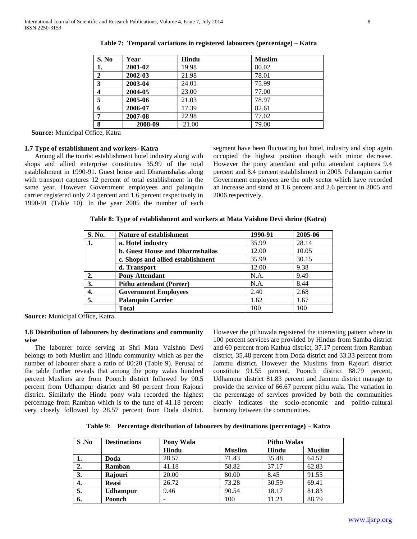| S. No          | Year    | Hindu | <b>Muslim</b> |
|----------------|---------|-------|---------------|
| 1.             | 2001-02 | 19.98 | 80.02         |
| $\mathbf{2}$   | 2002-03 | 21.98 | 78.01         |
| $\mathbf{3}$   | 2003-04 | 24.01 | 75.99         |
| $\overline{4}$ | 2004-05 | 23.00 | 77.00         |
| 5              | 2005-06 | 21.03 | 78.97         |
| 6              | 2006-07 | 17.39 | 82.61         |
| 7              | 2007-08 | 22.98 | 77.02         |
| 8              | 2008-09 | 21.00 | 79.00         |

|  |  | Table 7: Temporal variations in registered labourers (percentage) – Katra |  |
|--|--|---------------------------------------------------------------------------|--|
|  |  |                                                                           |  |

**Source:** Municipal Office, Katra

#### **1.7 Type of establishment and workers- Katra**

 Among all the tourist establishment hotel industry along with shops and allied enterprise constitutes 35.99 of the total establishment in 1990-91. Guest house and Dharamshalas along with transport captures 12 percent of total establishment in the same year. However Government employees and palanquin carrier registered only 2.4 percent and 1.6 percent respectively in 1990-91 (Table 10). In the year 2005 the number of each

segment have been fluctuating but hotel, industry and shop again occupied the highest position though with minor decrease. However the pony attendant and pithu attendant captures 9.4 percent and 8.4 percent establishment in 2005. Palanquin carrier Government employees are the only sector which have recorded an increase and stand at 1.6 percent and 2.6 percent in 2005 and 2006 respectively.

| Table 8: Type of establishment and workers at Mata Vaishno Devi shrine (Katra) |  |  |  |
|--------------------------------------------------------------------------------|--|--|--|
|--------------------------------------------------------------------------------|--|--|--|

| S. No. | <b>Nature of establishment</b>         | 1990-91 | 2005-06 |
|--------|----------------------------------------|---------|---------|
| 1.     | a. Hotel industry                      | 35.99   | 28.14   |
|        | <b>b.</b> Guest House and Dharmshallas | 12.00   | 10.05   |
|        | c. Shops and allied establishment      | 35.99   | 30.15   |
|        | d. Transport                           | 12.00   | 9.38    |
| 2.     | <b>Pony Attendant</b>                  | N.A.    | 9.49    |
| 3.     | <b>Pithu attendant (Porter)</b>        | N.A.    | 8.44    |
| 4.     | <b>Government Employees</b>            | 2.40    | 2.68    |
| 5.     | <b>Palanquin Carrier</b>               | 1.62    | 1.67    |
|        | <b>Total</b>                           | 100     | 100     |

**Source:** Municipal Office, Katra.

## **1.8 Distribution of labourers by destinations and community wise**

 The labourer force serving at Shri Mata Vaishno Devi belongs to both Muslim and Hindu community which as per the number of labourer share a ratio of 80:20 (Table 9). Perusal of the table further reveals that among the pony walas hundred percent Muslims are from Poonch district followed by 90.5 percent from Udhampur district and 80 percent from Rajouri district. Similarly the Hindu pony wala recorded the highest percentage from Ramban which is to the tune of 41.18 percent very closely followed by 28.57 percent from Doda district.

However the pithuwala registered the interesting pattern where in 100 percent services are provided by Hindus from Samba district and 60 percent from Kathua district, 37.17 percent from Ramban district, 35.48 percent from Doda district and 33.33 percent from Jammu district. However the Muslims from Rajouri district constitute 91.55 percent, Poonch district 88.79 percent, Udhampur district 81.83 percent and Jammu district manage to provide the service of 66.67 percent pithu wala. The variation in the percentage of services provided by both the communities clearly indicates the socio-economic and politio-cultural harmony between the communities.

**Table 9: Percentage distribution of labourers by destinations (percentage) – Katra**

| S.No | <b>Destinations</b> | <b>Pony Wala</b> |               | <b>Pithu Walas</b> |               |
|------|---------------------|------------------|---------------|--------------------|---------------|
|      |                     | Hindu            | <b>Muslim</b> | Hindu              | <b>Muslim</b> |
| ı.   | Doda                | 28.57            | 71.43         | 35.48              | 64.52         |
| 2.   | Ramban              | 41.18            | 58.82         | 37.17              | 62.83         |
| 3.   | Rajouri             | 20.00            | 80.00         | 8.45               | 91.55         |
| 4.   | <b>Reasi</b>        | 26.72            | 73.28         | 30.59              | 69.41         |
| 5.   | <b>Udhampur</b>     | 9.46             | 90.54         | 18.17              | 81.83         |
| 6.   | Poonch              |                  | 100           | 11.21              | 88.79         |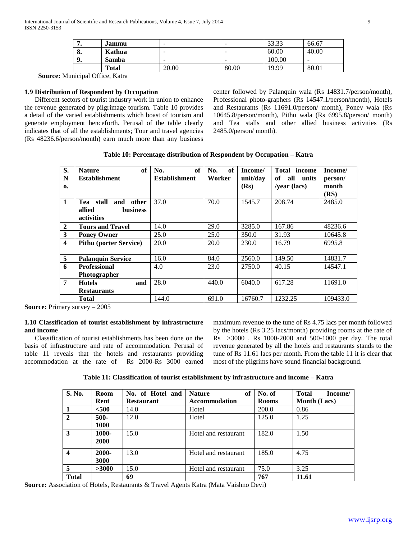|    | Jammu        | $\overline{\phantom{a}}$ | -     | 33.33  | 66.67 |
|----|--------------|--------------------------|-------|--------|-------|
| о. | Kathua       | $\overline{\phantom{a}}$ | -     | 60.00  | 40.00 |
| 9. | <b>Samba</b> | $\overline{\phantom{a}}$ | -     | 100.00 | -     |
|    | <b>Total</b> | 20.00                    | 80.00 | 19.99  | 80.01 |

**Source:** Municipal Office, Katra

## **1.9 Distribution of Respondent by Occupation**

 Different sectors of tourist industry work in union to enhance the revenue generated by pilgrimage tourism. Table 10 provides a detail of the varied establishments which boast of tourism and generate employment henceforth. Perusal of the table clearly indicates that of all the establishments; Tour and travel agencies (Rs 48236.6/person/month) earn much more than any business center followed by Palanquin wala (Rs 14831.7/person/month), Professional photo-graphers (Rs 14547.1/person/month), Hotels and Restaurants (Rs 11691.0/person/ month), Poney wala (Rs 10645.8/person/month), Pithu wala (Rs 6995.8/person/ month) and Tea stalls and other allied business activities (Rs 2485.0/person/ month).

**Table 10: Percentage distribution of Respondent by Occupation – Katra**

| S.                      | of<br><b>Nature</b>           | of<br>No.            | of<br>No. | Income/  | Total income    | Income/  |
|-------------------------|-------------------------------|----------------------|-----------|----------|-----------------|----------|
| N                       | <b>Establishment</b>          | <b>Establishment</b> | Worker    | unit/day | all units<br>of | person/  |
| 0.                      |                               |                      |           | (Rs)     | /year (lacs)    | month    |
|                         |                               |                      |           |          |                 | (RS)     |
| $\mathbf{1}$            | stall<br>and other<br>Теа     | 37.0                 | 70.0      | 1545.7   | 208.74          | 2485.0   |
|                         | allied<br><b>business</b>     |                      |           |          |                 |          |
|                         | activities                    |                      |           |          |                 |          |
| $\overline{2}$          | <b>Tours and Travel</b>       | 14.0                 | 29.0      | 3285.0   | 167.86          | 48236.6  |
| 3                       | <b>Poney Owner</b>            | 25.0                 | 25.0      | 350.0    | 31.93           | 10645.8  |
| $\overline{\mathbf{4}}$ | <b>Pithu (porter Service)</b> | 20.0                 | 20.0      | 230.0    | 16.79           | 6995.8   |
|                         |                               |                      |           |          |                 |          |
| 5                       | <b>Palanquin Service</b>      | 16.0                 | 84.0      | 2560.0   | 149.50          | 14831.7  |
| 6                       | <b>Professional</b>           | 4.0                  | 23.0      | 2750.0   | 40.15           | 14547.1  |
|                         | <b>Photographer</b>           |                      |           |          |                 |          |
| 7                       | and<br><b>Hotels</b>          | 28.0                 | 440.0     | 6040.0   | 617.28          | 11691.0  |
|                         | <b>Restaurants</b>            |                      |           |          |                 |          |
|                         | Total                         | 144.0                | 691.0     | 16760.7  | 1232.25         | 109433.0 |

**Source: Primary survey – 2005** 

## **1.10 Classification of tourist establishment by infrastructure and income**

 Classification of tourist establishments has been done on the basis of infrastructure and rate of accommodation. Perusal of table 11 reveals that the hotels and restaurants providing accommodation at the rate of Rs 2000-Rs 3000 earned maximum revenue to the tune of Rs 4.75 lacs per month followed by the hotels (Rs 3.25 lacs/month) providing rooms at the rate of Rs >3000 , Rs 1000-2000 and 500-1000 per day. The total revenue generated by all the hotels and restaurants stands to the tune of Rs 11.61 lacs per month. From the table 11 it is clear that most of the pilgrims have sound financial background.

**Table 11: Classification of tourist establishment by infrastructure and income – Katra**

| S. No.       | Room                 | No. of Hotel and  | of<br><b>Nature</b>  | No. of       | <b>Total</b><br>Income/ |
|--------------|----------------------|-------------------|----------------------|--------------|-------------------------|
|              | Rent                 | <b>Restaurant</b> | <b>Accommodation</b> | <b>Rooms</b> | <b>Month</b> (Lacs)     |
|              | $500$                | 14.0              | Hotel                | 200.0        | 0.86                    |
| $\mathbf{2}$ | $500 -$<br>1000      | 12.0              | Hotel                | 125.0        | 1.25                    |
| 3            | 1000-<br><b>2000</b> | 15.0              | Hotel and restaurant | 182.0        | 1.50                    |
| 4            | 2000-<br>3000        | 13.0              | Hotel and restaurant | 185.0        | 4.75                    |
| 5            | >3000                | 15.0              | Hotel and restaurant | 75.0         | 3.25                    |
| <b>Total</b> |                      | 69                |                      | 767          | 11.61                   |

**Source:** Association of Hotels, Restaurants & Travel Agents Katra (Mata Vaishno Devi)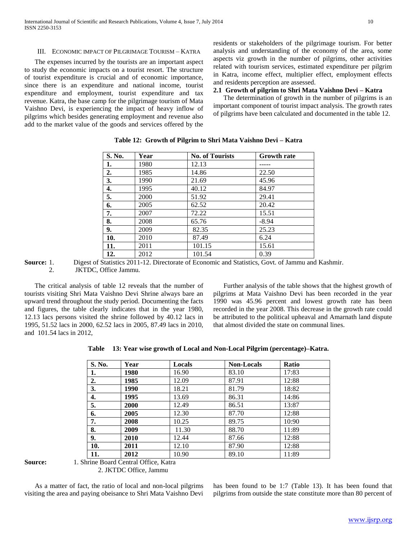#### III. ECONOMIC IMPACT OF PILGRIMAGE TOURISM – KATRA

 The expenses incurred by the tourists are an important aspect to study the economic impacts on a tourist resort. The structure of tourist expenditure is crucial and of economic importance, since there is an expenditure and national income, tourist expenditure and employment, tourist expenditure and tax revenue. Katra, the base camp for the pilgrimage tourism of Mata Vaishno Devi, is experiencing the impact of heavy inflow of pilgrims which besides generating employment and revenue also add to the market value of the goods and services offered by the

residents or stakeholders of the pilgrimage tourism. For better analysis and understanding of the economy of the area, some aspects viz growth in the number of pilgrims, other activities related with tourism services, estimated expenditure per pilgrim in Katra, income effect, multiplier effect, employment effects and residents perception are assessed.

## **2.1 Growth of pilgrim to Shri Mata Vaishno Devi – Katra**

 The determination of growth in the number of pilgrims is an important component of tourist impact analysis. The growth rates of pilgrims have been calculated and documented in the table 12.

| S. No. | Year | <b>No. of Tourists</b> | <b>Growth rate</b> |
|--------|------|------------------------|--------------------|
| 1.     | 1980 | 12.13                  |                    |
| 2.     | 1985 | 14.86                  | 22.50              |
| 3.     | 1990 | 21.69                  | 45.96              |
| 4.     | 1995 | 40.12                  | 84.97              |
| 5.     | 2000 | 51.92                  | 29.41              |
| 6.     | 2005 | 62.52                  | 20.42              |
| 7.     | 2007 | 72.22                  | 15.51              |
| 8.     | 2008 | 65.76                  | $-8.94$            |
| 9.     | 2009 | 82.35                  | 25.23              |
| 10.    | 2010 | 87.49                  | 6.24               |
| 11.    | 2011 | 101.15                 | 15.61              |
| 12.    | 2012 | 101.54                 | 0.39               |

## **Table 12: Growth of Pilgrim to Shri Mata Vaishno Devi – Katra**

**Source:** 1. Digest of Statistics 2011-12. Directorate of Economic and Statistics, Govt. of Jammu and Kashmir. 2. JKTDC, Office Jammu.

 The critical analysis of table 12 reveals that the number of tourists visiting Shri Mata Vaishno Devi Shrine always bare an upward trend throughout the study period. Documenting the facts and figures, the table clearly indicates that in the year 1980, 12.13 lacs persons visited the shrine followed by 40.12 lacs in 1995, 51.52 lacs in 2000, 62.52 lacs in 2005, 87.49 lacs in 2010, and 101.54 lacs in 2012,

 Further analysis of the table shows that the highest growth of pilgrims at Mata Vaishno Devi has been recorded in the year 1990 was 45.96 percent and lowest growth rate has been recorded in the year 2008. This decrease in the growth rate could be attributed to the political upheaval and Amarnath land dispute that almost divided the state on communal lines.

**Table 13: Year wise growth of Local and Non-Local Pilgrim (percentage)–Katra.**

| S. No. | Year | Locals | <b>Non-Locals</b> | Ratio |
|--------|------|--------|-------------------|-------|
| 1.     | 1980 | 16.90  | 83.10             | 17:83 |
| 2.     | 1985 | 12.09  | 87.91             | 12:88 |
| 3.     | 1990 | 18.21  | 81.79             | 18:82 |
| 4.     | 1995 | 13.69  | 86.31             | 14:86 |
| 5.     | 2000 | 12.49  | 86.51             | 13:87 |
| 6.     | 2005 | 12.30  | 87.70             | 12:88 |
| 7.     | 2008 | 10.25  | 89.75             | 10:90 |
| 8.     | 2009 | 11.30  | 88.70             | 11:89 |
| 9.     | 2010 | 12.44  | 87.66             | 12:88 |
| 10.    | 2011 | 12.10  | 87.90             | 12:88 |
| 11.    | 2012 | 10.90  | 89.10             | 11:89 |

**Source:** 1. Shrine Board Central Office, Katra

2. JKTDC Office, Jammu

 As a matter of fact, the ratio of local and non-local pilgrims visiting the area and paying obeisance to Shri Mata Vaishno Devi

has been found to be 1:7 (Table 13). It has been found that pilgrims from outside the state constitute more than 80 percent of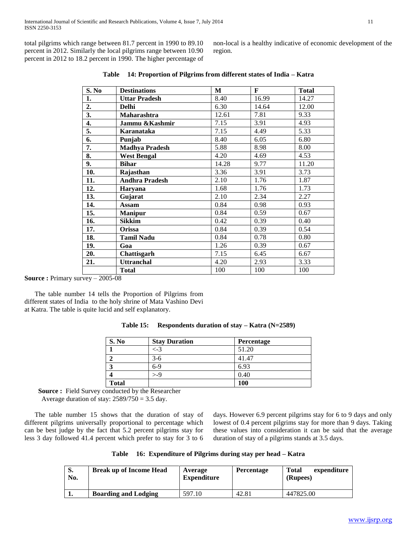total pilgrims which range between 81.7 percent in 1990 to 89.10 percent in 2012. Similarly the local pilgrims range between 10.90 percent in 2012 to 18.2 percent in 1990. The higher percentage of non-local is a healthy indicative of economic development of the region.

| S. No | <b>Destinations</b>   | М     | $\mathbf{F}$ | <b>Total</b> |
|-------|-----------------------|-------|--------------|--------------|
| 1.    | <b>Uttar Pradesh</b>  | 8.40  | 16.99        | 14.27        |
| 2.    | <b>Delhi</b>          | 6.30  | 14.64        | 12.00        |
| 3.    | Maharashtra           | 12.61 | 7.81         | 9.33         |
| 4.    | Jammu & Kashmir       | 7.15  | 3.91         | 4.93         |
| 5.    | Karanataka            | 7.15  | 4.49         | 5.33         |
| 6.    | Punjab                | 8.40  | 6.05         | 6.80         |
| 7.    | <b>Madhya Pradesh</b> | 5.88  | 8.98         | 8.00         |
| 8.    | <b>West Bengal</b>    | 4.20  | 4.69         | 4.53         |
| 9.    | <b>Bihar</b>          | 14.28 | 9.77         | 11.20        |
| 10.   | Rajasthan             | 3.36  | 3.91         | 3.73         |
| 11.   | <b>Andhra Pradesh</b> | 2.10  | 1.76         | 1.87         |
| 12.   | Haryana               | 1.68  | 1.76         | 1.73         |
| 13.   | Gujarat               | 2.10  | 2.34         | 2.27         |
| 14.   | Assam                 | 0.84  | 0.98         | 0.93         |
| 15.   | <b>Manipur</b>        | 0.84  | 0.59         | 0.67         |
| 16.   | Sikkim                | 0.42  | 0.39         | 0.40         |
| 17.   | Orissa                | 0.84  | 0.39         | 0.54         |
| 18.   | <b>Tamil Nadu</b>     | 0.84  | 0.78         | 0.80         |
| 19.   | Goa                   | 1.26  | 0.39         | 0.67         |
| 20.   | Chattisgarh           | 7.15  | 6.45         | 6.67         |
| 21.   | <b>Uttranchal</b>     | 4.20  | 2.93         | 3.33         |
|       | <b>Total</b>          | 100   | 100          | 100          |

|  |  | Table 14: Proportion of Pilgrims from different states of India – Katra |
|--|--|-------------------------------------------------------------------------|
|  |  |                                                                         |

**Source :** Primary survey – 2005-08

 The table number 14 tells the Proportion of Pilgrims from different states of India to the holy shrine of Mata Vashino Devi at Katra. The table is quite lucid and self explanatory.

| Table 15: | Respondents duration of stay $-$ Katra (N=2589) |  |  |  |  |
|-----------|-------------------------------------------------|--|--|--|--|
|-----------|-------------------------------------------------|--|--|--|--|

| S. No        | <b>Stay Duration</b> | Percentage |
|--------------|----------------------|------------|
|              | $\lt$ -3             | 51.20      |
|              | 3-6                  | 41.47      |
| 3            | $6-9$                | 6.93       |
|              | $\mathord{\sim} 0$   | 0.40       |
| <b>Total</b> |                      | 100        |

 **Source :** Field Survey conducted by the Researcher

Average duration of stay:  $2589/750 = 3.5$  day.

 The table number 15 shows that the duration of stay of different pilgrims universally proportional to percentage which can be best judge by the fact that 5.2 percent pilgrims stay for less 3 day followed 41.4 percent which prefer to stay for 3 to 6

days. However 6.9 percent pilgrims stay for 6 to 9 days and only lowest of 0.4 percent pilgrims stay for more than 9 days. Taking these values into consideration it can be said that the average duration of stay of a pilgrims stands at 3.5 days.

|  | Table 16: Expenditure of Pilgrims during stay per head - Katra |
|--|----------------------------------------------------------------|
|  |                                                                |

| S.<br>No. | <b>Break up of Income Head</b> | Average<br><b>Expenditure</b> | <b>Percentage</b> | Total<br>expenditure<br>(Rupees) |
|-----------|--------------------------------|-------------------------------|-------------------|----------------------------------|
|           | <b>Boarding and Lodging</b>    | 597.10                        | 42.81             | 447825.00                        |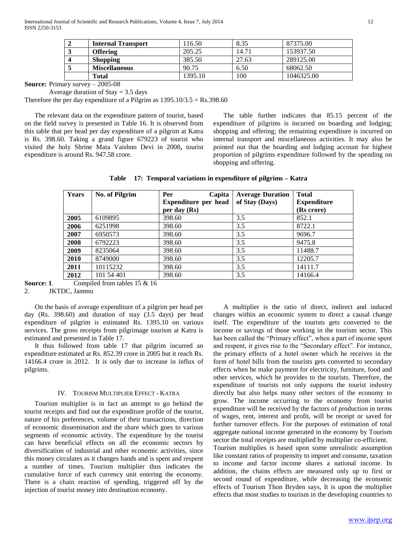| <b>Internal Transport</b> | 116.50  | 8.35  | 87375.00   |
|---------------------------|---------|-------|------------|
| <b>Offering</b>           | 205.25  | 14.71 | 153937.50  |
| <b>Shopping</b>           | 385.50  | 27.63 | 289125.00  |
| <b>Miscellaneous</b>      | 90.75   | 6.50  | 68062.50   |
| Total                     | 1395.10 | 100   | 1046325.00 |

**Source:** Primary survey – 2005-08

Average duration of  $Stay = 3.5$  days

Therefore the per day expenditure of a Pilgrim as  $1395.10/3.5 = \text{Rs}.398.60$ 

 The relevant data on the expenditure pattern of tourist, based on the field survey is presented in Table 16. It is observed from this table that per head per day expenditure of a pilgrim at Katra is Rs. 398.60. Taking a grand figure 679223 of tourist who visited the holy Shrine Mata Vaishno Devi in 2008**,** tourist expenditure is around Rs. 947.58 crore.

 The table further indicates that 85.15 percent of the expenditure of pilgrims is incurred on boarding and lodging; shopping and offering; the remaining expenditure is incurred on internal transport and miscellaneous activities. It may also be pointed out that the boarding and lodging account for highest proportion of pilgrims expenditure followed by the spending on shopping and offering.

**Table 17: Temporal variations in expenditure of pilgrims – Katra**

| <b>Years</b> | <b>No. of Pilgrim</b> | Per<br>Capita                          | <b>Average Duration</b> | <b>Total</b>                     |
|--------------|-----------------------|----------------------------------------|-------------------------|----------------------------------|
|              |                       | Expenditure per head<br>per day $(Rs)$ | of Stay (Days)          | <b>Expenditure</b><br>(Rs crore) |
| 2005         | 6109895               | 398.60                                 | 3.5                     | 852.1                            |
| 2006         | 6251998               | 398.60                                 | 3.5                     | 8722.1                           |
| 2007         | 6950573               | 398.60                                 | 3.5                     | 9696.7                           |
| 2008         | 6792223               | 398.60                                 | 3.5                     | 9475.8                           |
| 2009         | 8235064               | 398.60                                 | 3.5                     | 11488.7                          |
| 2010         | 8749000               | 398.60                                 | 3.5                     | 12205.7                          |
| 2011         | 10115232              | 398.60                                 | 3.5                     | 14111.7                          |
| 2012         | 101 54 401            | 398.60                                 | 3.5                     | 14166.4                          |

**Source: 1.** Compiled from tables 15 & 16

#### 2. JKTDC, Jammu

 On the basis of average expenditure of a pilgrim per head per day (Rs. 398.60) and duration of stay (3.5 days) per head expenditure of pilgrim is estimated Rs. 1395.10 on various services. The gross receipts from pilgrimage tourism at Katra is estimated and presented in Table 17.

 It thus followed from table 17 that pilgrim incurred an expenditure estimated at Rs. 852.39 crore in 2005 but it reach Rs. 14166.4 crore in 2012. It is only due to increase in influx of pilgrims.

### IV. TOURISM MULTIPLIER EFFECT - KATRA

 Tourism multiplier is in fact an attempt to go behind the tourist receipts and find out the expenditure profile of the tourist, nature of his preferences, volume of their transactions, direction of economic dissemination and the share which goes to various segments of economic activity. The expenditure by the tourist can have beneficial effects on all the economic sectors by diversification of industrial and other economic activities, since this money circulates as it changes hands and is spent and respent a number of times. Tourism multiplier thus indicates the cumulative force of each currency unit entering the economy. There is a chain reaction of spending, triggered off by the injection of tourist money into destination economy.

 A multiplier is the ratio of direct, indirect and induced changes within an economic system to direct a causal change itself. The expenditure of the tourists gets converted to the income or savings of those working in the tourism sector. This has been called the "Primary effect", when a part of income spent and respent, it gives rise to the "Secondary effect". For instance, the primary effects of a hotel owner which he receives in the form of hotel bills from the tourists gets converted to secondary effects when he make payment for electricity, furniture, food and other services, which he provides to the tourists. Therefore, the expenditure of tourists not only supports the tourist industry directly but also helps many other sectors of the economy to grow. The income occurring to the economy from tourist expenditure will be received by the factors of production in terms of wages, rent, interest and profit, will be receipt or saved for further turnover effects. For the purposes of estimation of total aggregate national income generated in the economy by Tourism sector the total receipts are multiplied by multiplier co-efficient. Tourism multiplies is based upon some unrealistic assumption

like constant ratios of propensity to import and consume, taxation to income and factor income shares a national income. In addition, the chains effects are measured only up to first or second round of expenditure, while decreasing the economic effects of Tourism Thon Bryden says, It is upon the multiplier effects that most studies to tourism in the developing countries to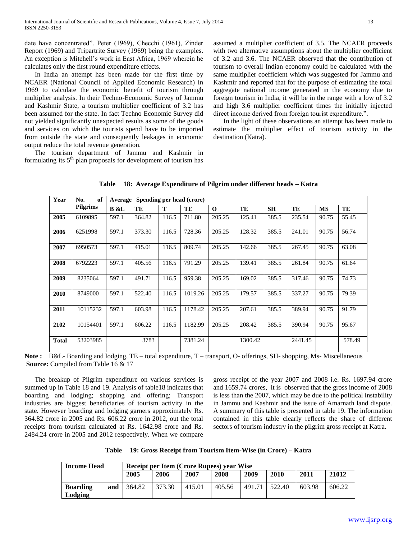date have concentrated". Peter (1969), Checchi (1961), Zinder Report (1969) and Tripartrite Survey (1969) being the examples. An exception is Mitchell's work in East Africa, 1969 wherein he calculates only the first round expenditure effects.

 In India an attempt has been made for the first time by NCAER (National Council of Applied Economic Research) in 1969 to calculate the economic benefit of tourism through multiplier analysis. In their Techno-Economic Survey of Jammu and Kashmir State, a tourism multiplier coefficient of 3.2 has been assumed for the state. In fact Techno Economic Survey did not yielded significantly unexpected results as some of the goods and services on which the tourists spend have to be imported from outside the state and consequently leakages in economic output reduce the total revenue generation.

 The tourism department of Jammu and Kashmir in formulating its  $5<sup>th</sup>$  plan proposals for development of tourism has assumed a multiplier coefficient of 3.5. The NCAER proceeds with two alternative assumptions about the multiplier coefficient of 3.2 and 3.6. The NCAER observed that the contribution of tourism to overall Indian economy could be calculated with the same multiplier coefficient which was suggested for Jammu and Kashmir and reported that for the purpose of estimating the total aggregate national income generated in the economy due to foreign tourism in India, it will be in the range with a low of 3.2 and high 3.6 multiplier coefficient times the initially injected direct income derived from foreign tourist expenditure.".

 In the light of these observations an attempt has been made to estimate the multiplier effect of tourism activity in the destination (Katra).

| Year         | of<br>No.<br>Spending per head (crore)<br>Average |             |        |       |         |          |         |           |         |           |        |
|--------------|---------------------------------------------------|-------------|--------|-------|---------|----------|---------|-----------|---------|-----------|--------|
|              | <b>Pilgrims</b>                                   | <b>B</b> &L | TE     | T     | TE      | $\Omega$ | TE      | <b>SH</b> | TE      | <b>MS</b> | TE     |
| 2005         | 6109895                                           | 597.1       | 364.82 | 116.5 | 711.80  | 205.25   | 125.41  | 385.5     | 235.54  | 90.75     | 55.45  |
| 2006         | 6251998                                           | 597.1       | 373.30 | 116.5 | 728.36  | 205.25   | 128.32  | 385.5     | 241.01  | 90.75     | 56.74  |
| 2007         | 6950573                                           | 597.1       | 415.01 | 116.5 | 809.74  | 205.25   | 142.66  | 385.5     | 267.45  | 90.75     | 63.08  |
| 2008         | 6792223                                           | 597.1       | 405.56 | 116.5 | 791.29  | 205.25   | 139.41  | 385.5     | 261.84  | 90.75     | 61.64  |
| 2009         | 8235064                                           | 597.1       | 491.71 | 116.5 | 959.38  | 205.25   | 169.02  | 385.5     | 317.46  | 90.75     | 74.73  |
| 2010         | 8749000                                           | 597.1       | 522.40 | 116.5 | 1019.26 | 205.25   | 179.57  | 385.5     | 337.27  | 90.75     | 79.39  |
| 2011         | 10115232                                          | 597.1       | 603.98 | 116.5 | 1178.42 | 205.25   | 207.61  | 385.5     | 389.94  | 90.75     | 91.79  |
| 2102         | 10154401                                          | 597.1       | 606.22 | 116.5 | 1182.99 | 205.25   | 208.42  | 385.5     | 390.94  | 90.75     | 95.67  |
| <b>Total</b> | 53203985                                          |             | 3783   |       | 7381.24 |          | 1300.42 |           | 2441.45 |           | 578.49 |

**Table 18: Average Expenditure of Pilgrim under different heads – Katra**

Note : B&L- Boarding and lodging, TE – total expenditure, T – transport, O- offerings, SH- shopping, Ms- Miscellaneous **Source:** Compiled from Table 16 & 17

 The breakup of Pilgrim expenditure on various services is summed up in Table 18 and 19. Analysis of table18 indicates that boarding and lodging; shopping and offering; Transport industries are biggest beneficiaries of tourism activity in the state. However boarding and lodging garners approximately Rs. 364.82 crore in 2005 and Rs. 606.22 crore in 2012, out the total receipts from tourism calculated at Rs. 1642.98 crore and Rs. 2484.24 crore in 2005 and 2012 respectively. When we compare gross receipt of the year 2007 and 2008 i.e. Rs. 1697.94 crore and 1659.74 crores, it is observed that the gross income of 2008 is less than the 2007, which may be due to the political instability in Jammu and Kashmir and the issue of Amarnath land dispute. A summary of this table is presented in table 19. The information contained in this table clearly reflects the share of different sectors of tourism industry in the pilgrim gross receipt at Katra.

**Table 19: Gross Receipt from Tourism Item-Wise (in Crore) – Katra**

| <b>Income Head</b>         |     |        |        | Receipt per Item (Crore Rupees) year Wise |        |        |        |        |        |
|----------------------------|-----|--------|--------|-------------------------------------------|--------|--------|--------|--------|--------|
|                            |     | 2005   | 2006   | 2007                                      | 2008   | 2009   | 2010   | 2011   | 21012  |
| <b>Boarding</b><br>Lodging | and | 364.82 | 373.30 | 415.01                                    | 405.56 | 491.71 | 522.40 | 603.98 | 606.22 |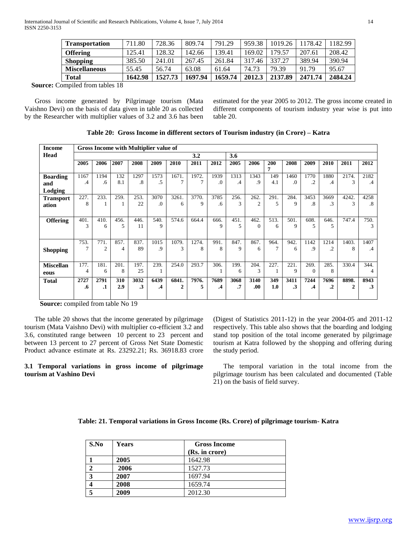| <b>Transportation</b> | 711.80  | 728.36  | 809.74  | 791.29  | 959.38 | 1019.26 | 1178.42 | 1182.99 |
|-----------------------|---------|---------|---------|---------|--------|---------|---------|---------|
| <b>Offering</b>       | 125.41  | 128.32  | 142.66  | 139.41  | 169.02 | 179.57  | 207.61  | 208.42  |
| <b>Shopping</b>       | 385.50  | 241.01  | 267.45  | 261.84  | 317.46 | 337.27  | 389.94  | 390.94  |
| <b>Miscellaneous</b>  | 55.45   | 56.74   | 63.08   | 61.64   | 74.73  | 79.39   | 91.79   | 95.67   |
| Total                 | 1642.98 | 1527.73 | 1697.94 | 1659.74 | 2012.3 | 2137.89 | 2471.74 | 2484.24 |

 **Source:** Compiled from tables 18

 Gross income generated by Pilgrimage tourism (Mata Vaishno Devi) on the basis of data given in table 20 as collected by the Researcher with multiplier values of 3.2 and 3.6 has been

estimated for the year 2005 to 2012. The gross income created in different components of tourism industry year wise is put into table 20.

| <b>Income</b>    |      |                |      |           | Gross Income with Multiplier value of |              |       |           |           |                |                |           |          |           |                             |           |
|------------------|------|----------------|------|-----------|---------------------------------------|--------------|-------|-----------|-----------|----------------|----------------|-----------|----------|-----------|-----------------------------|-----------|
| Head             |      |                |      |           |                                       |              | 3.2   |           | 3.6       |                |                |           |          |           |                             |           |
|                  | 2005 | 2006           | 2007 | 2008      | 2009                                  | 2010         | 2011  | 2012      | 2005      | 2006           | 200            | 2008      | 2009     | 2010      | 2011                        | 2012      |
|                  |      |                |      |           |                                       |              |       |           |           |                | 7              |           |          |           |                             |           |
| <b>Boarding</b>  | 1167 | 1194           | 132  | 1297      | 1573                                  | 1671.        | 1972. | 1939      | 1313      | 1343           | 149            | 1460      | 1770     | 1880      | 2174.                       | 2182      |
| and              | .4   | .6             | 8.1  | .8        | .5                                    | 7            | 7     | $\Omega$  | $\cdot$ 4 | .9             | 4.1            | .0        | $\cdot$  | .4        | 3                           | .4        |
| Lodging          |      |                |      |           |                                       |              |       |           |           |                |                |           |          |           |                             |           |
| <b>Transport</b> | 227. | 233.           | 259. | 253.      | 3070                                  | 3261.        | 3770. | 3785      | 256.      | 262.           | 291.           | 284.      | 3453     | 3669      | 4242.                       | 4258      |
| ation            | 8    |                |      | 22        | .0                                    | 6            | 9     | .6        | 3         | $\mathfrak{2}$ | 5              | 9         | .8       | $\cdot$ 3 | $\mathcal{F}$               | $\cdot^8$ |
|                  |      |                |      |           |                                       |              |       |           |           |                |                |           |          |           |                             |           |
| <b>Offering</b>  | 401. | 410.           | 456. | 446.      | 540.                                  | 574.6        | 664.4 | 666.      | 451.      | 462.           | 513.           | 501.      | 608.     | 646.      | 747.4                       | 750.      |
|                  | 3    | 6              | 5    | 11        | 9                                     |              |       | 9         | 5         | $\Omega$       | 6              | 9         | 5        | 5         |                             | 3         |
|                  |      |                |      |           |                                       |              |       |           |           |                |                |           |          |           |                             |           |
|                  | 753. | 771.           | 857. | 837.      | 1015                                  | 1079.        | 1274. | 991.      | 847.      | 867.           | 964.           | 942.      | 1142     | 1214      | 1403.                       | 1407      |
| <b>Shopping</b>  | 7    | $\overline{c}$ | 4    | 89        | .9                                    | 3            | 8     | 8         | 9         | 6              | $\overline{7}$ | 6         | .9       | $\cdot$   | 8                           | .4        |
|                  |      |                |      |           |                                       |              |       |           |           |                |                |           |          |           |                             |           |
| <b>Miscellan</b> | 177. | 181.           | 201. | 197.      | 239.                                  | 254.0        | 293.7 | 306.      | 199.      | 204.           | 227.           | 221.      | 269.     | 285.      | 330.4                       | 344.      |
| eous             | 4    | 6              | 8    | 25        |                                       |              |       |           | 6         | 3              |                | 9         | $\Omega$ | 8         |                             | 4         |
| <b>Total</b>     | 2727 | 2791           | 310  | 3032      | 6439                                  | 6841.        | 7976. | 7689      | 3068      | 3140           | 349            | 3411      | 7244     | 7696      | 8898.                       | 8943      |
|                  | .6   | .1             | 2.9  | $\cdot$ 3 | $\cdot$                               | $\mathbf{2}$ | 5     | $\cdot$ 4 | .7        | .00.           | 1.0            | $\cdot$ 3 | .4       | $\cdot$   | $\mathcal{D}_{\mathcal{L}}$ | $\cdot$ 3 |
|                  |      |                |      |           |                                       |              |       |           |           |                |                |           |          |           |                             |           |

**Table 20: Gross Income in different sectors of Tourism industry (in Crore) – Katra**

**Source:** compiled from table No 19

 The table 20 shows that the income generated by pilgrimage tourism (Mata Vaishno Devi) with multiplier co-efficient 3.2 and 3.6, constituted range between 10 percent to 23 percent and between 13 percent to 27 percent of Gross Net State Domestic Product advance estimate at Rs. 23292.21; Rs. 36918.83 crore

## **3.1 Temporal variations in gross income of pilgrimage tourism at Vashino Devi**

(Digest of Statistics 2011-12) in the year 2004-05 and 2011-12 respectively. This table also shows that the boarding and lodging stand top position of the total income generated by pilgrimage tourism at Katra followed by the shopping and offering during the study period.

 The temporal variation in the total income from the pilgrimage tourism has been calculated and documented (Table 21) on the basis of field survey.

| S.No | Years | <b>Gross Income</b> |
|------|-------|---------------------|
|      |       | (Rs. in crore)      |
|      | 2005  | 1642.98             |
| ി    | 2006  | 1527.73             |
| 3    | 2007  | 1697.94             |
|      | 2008  | 1659.74             |
| 5    | 2009  | 2012.30             |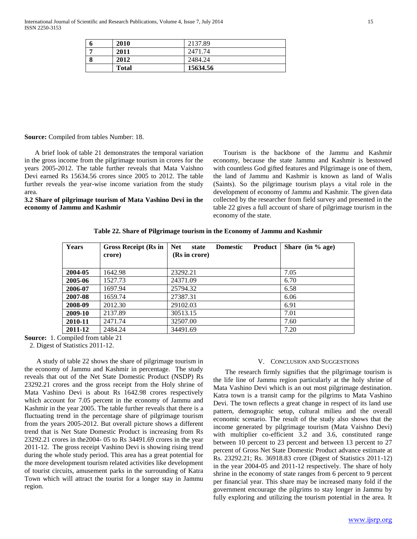| o | 2010         | 2137.89  |
|---|--------------|----------|
|   | 2011         | 2471.74  |
| O | 2012         | 2484.24  |
|   | <b>Total</b> | 15634.56 |

**Source:** Compiled from tables Number: 18.

 A brief look of table 21 demonstrates the temporal variation in the gross income from the pilgrimage tourism in crores for the years 2005-2012. The table further reveals that Mata Vaishno Devi earned Rs 15634.56 crores since 2005 to 2012. The table further reveals the year-wise income variation from the study area.

**3.2 Share of pilgrimage tourism of Mata Vashino Devi in the economy of Jammu and Kashmir**

Tourism is the backbone of the Jammu and Kashmir economy, because the state Jammu and Kashmir is bestowed with countless God gifted features and Pilgrimage is one of them, the land of Jammu and Kashmir is known as land of Walis (Saints). So the pilgrimage tourism plays a vital role in the development of economy of Jammu and Kashmir. The given data collected by the researcher from field survey and presented in the table 22 gives a full account of share of pilgrimage tourism in the economy of the state.

#### **Table 22. Share of Pilgrimage tourism in the Economy of Jammu and Kashmir**

| Years   | <b>Gross Receipt (Rs in</b><br>crore) | <b>Net</b><br><b>Product</b><br>state<br><b>Domestic</b><br>(Rs in crore) | Share (in $%$ age) |
|---------|---------------------------------------|---------------------------------------------------------------------------|--------------------|
|         |                                       |                                                                           |                    |
| 2004-05 | 1642.98                               | 23292.21                                                                  | 7.05               |
| 2005-06 | 1527.73                               | 24371.09                                                                  | 6.70               |
| 2006-07 | 1697.94                               | 25794.32                                                                  | 6.58               |
| 2007-08 | 1659.74                               | 27387.31                                                                  | 6.06               |
| 2008-09 | 2012.30                               | 29102.03                                                                  | 6.91               |
| 2009-10 | 2137.89                               | 30513.15                                                                  | 7.01               |
| 2010-11 | 2471.74                               | 32507.00                                                                  | 7.60               |
| 2011-12 | 2484.24                               | 34491.69                                                                  | 7.20               |

**Source:** 1. Compiled from table 21

2. Digest of Statistics 2011-12.

 A study of table 22 shows the share of pilgrimage tourism in the economy of Jammu and Kashmir in percentage. The study reveals that out of the Net State Domestic Product (NSDP) Rs 23292.21 crores and the gross receipt from the Holy shrine of Mata Vashino Devi is about Rs 1642.98 crores respectively which account for 7.05 percent in the economy of Jammu and Kashmir in the year 2005. The table further reveals that there is a fluctuating trend in the percentage share of pilgrimage tourism from the years 2005-2012. But overall picture shows a different trend that is Net State Domestic Product is increasing from Rs 23292.21 crores in the2004- 05 to Rs 34491.69 crores in the year 2011-12. The gross receipt Vashino Devi is showing rising trend during the whole study period. This area has a great potential for the more development tourism related activities like development of tourist circuits, amusement parks in the surrounding of Katra Town which will attract the tourist for a longer stay in Jammu region.

#### V. CONCLUSION AND SUGGESTIONS

 The research firmly signifies that the pilgrimage tourism is the life line of Jammu region particularly at the holy shrine of Mata Vashino Devi which is an out most pilgrimage destination. Katra town is a transit camp for the pilgrims to Mata Vashino Devi. The town reflects a great change in respect of its land use pattern, demographic setup, cultural milieu and the overall economic scenario. The result of the study also shows that the income generated by pilgrimage tourism (Mata Vaishno Devi) with multiplier co-efficient 3.2 and 3.6, constituted range between 10 percent to 23 percent and between 13 percent to 27 percent of Gross Net State Domestic Product advance estimate at Rs. 23292.21; Rs. 36918.83 crore (Digest of Statistics 2011-12) in the year 2004-05 and 2011-12 respectively. The share of holy shrine in the economy of state ranges from 6 percent to 9 percent per financial year. This share may be increased many fold if the government encourage the pilgrims to stay longer in Jammu by fully exploring and utilizing the tourism potential in the area. It